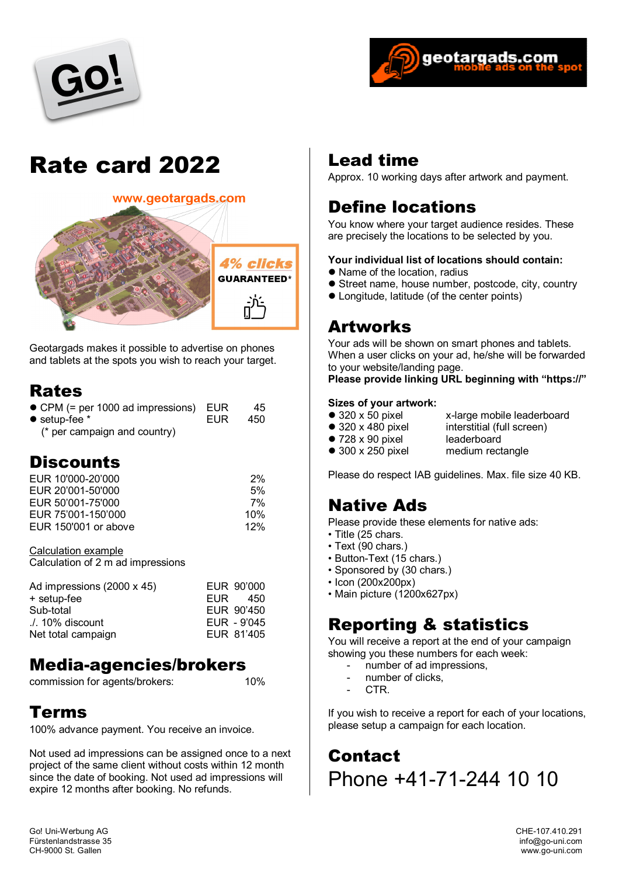



# Rate card 2022



Geotargads makes it possible to advertise on phones and tablets at the spots you wish to reach your target.

#### Rates

| $\bullet$ CPM (= per 1000 ad impressions) EUR |       | 45    |
|-----------------------------------------------|-------|-------|
| $\bullet$ setup-fee $*$                       | EUR – | - 450 |
| $\frac{1}{2}$ nor compoint and country        |       |       |

(\* per campaign and country)

#### **Discounts**

| EUR 10'000-20'000    | 2%  |
|----------------------|-----|
| EUR 20'001-50'000    | 5%  |
| EUR 50'001-75'000    | 7%  |
| EUR 75'001-150'000   | 10% |
| EUR 150'001 or above | 12% |

Calculation example Calculation of 2 m ad impressions

| Ad impressions (2000 x 45)             | EUR | EUR 90'000<br>-450        |
|----------------------------------------|-----|---------------------------|
| + setup-fee<br>Sub-total               |     | EUR 90'450                |
| ./. 10% discount<br>Net total campaign |     | EUR - 9'045<br>EUR 81'405 |

#### Media-agencies/brokers

commission for agents/brokers: 10%

#### Terms

100% advance payment. You receive an invoice.

Not used ad impressions can be assigned once to a next project of the same client without costs within 12 month since the date of booking. Not used ad impressions will expire 12 months after booking. No refunds.

#### Lead time

Approx. 10 working days after artwork and payment.

## Define locations

You know where your target audience resides. These are precisely the locations to be selected by you.

#### **Your individual list of locations should contain:**

- Name of the location, radius
- **•** Street name, house number, postcode, city, country
- Longitude, latitude (of the center points)

#### Artworks

Your ads will be shown on smart phones and tablets. When a user clicks on your ad, he/she will be forwarded to your website/landing page.

#### **Please provide linking URL beginning with "https://"**

## **Sizes of your artwork:**<br>● 320 x 50 pixel

- 
- 
- 320 x 50 pixel x-large mobile leaderboard<br>● 320 x 480 pixel interstitial (full screen)
	-
- $\bullet$  728 x 90 pixel<br> $\bullet$  300 x 250 pixel
- interstitial (full screen)<br>leaderboard
- 
- - medium rectangle

Please do respect IAB guidelines. Max. file size 40 KB.

#### Native Ads

Please provide these elements for native ads:

- Title (25 chars.
- Text (90 chars.)
- Button-Text (15 chars.)
- Sponsored by (30 chars.)
- Icon (200x200px)
- Main picture (1200x627px)

#### Reporting & statistics

You will receive a report at the end of your campaign showing you these numbers for each week:

- number of ad impressions,
- number of clicks.
- CTR.

If you wish to receive a report for each of your locations, please setup a campaign for each location.

**Contact** Phone +41-71-244 10 10